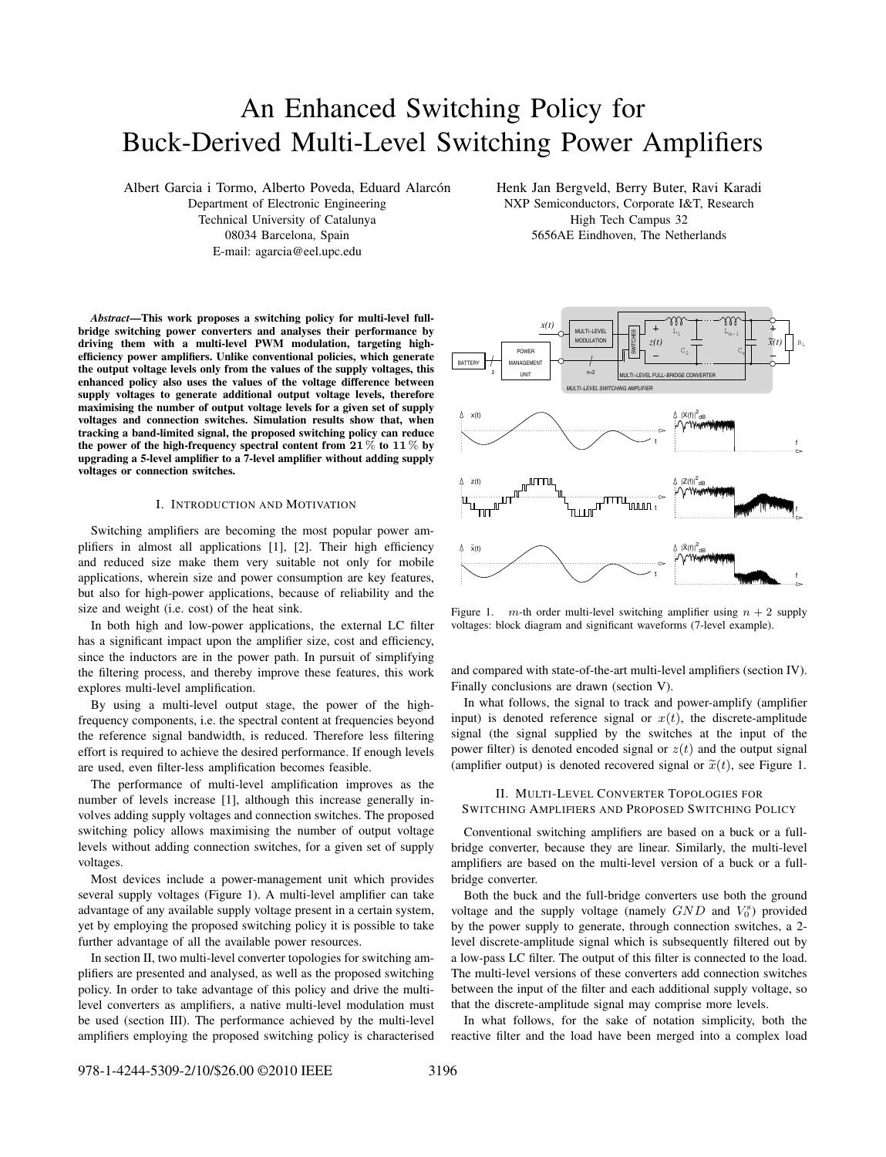# An Enhanced Switching Policy for Buck-Derived Multi-Level Switching Power Amplifiers

Albert Garcia i Tormo, Alberto Poveda, Eduard Alarcón

Department of Electronic Engineering Technical University of Catalunya 08034 Barcelona, Spain E-mail: agarcia@eel.upc.edu

*Abstract*—This work proposes a switching policy for multi-level fullbridge switching power converters and analyses their performance by driving them with a multi-level PWM modulation, targeting highefficiency power amplifiers. Unlike conventional policies, which generate the output voltage levels only from the values of the supply voltages, this enhanced policy also uses the values of the voltage difference between supply voltages to generate additional output voltage levels, therefore maximising the number of output voltage levels for a given set of supply voltages and connection switches. Simulation results show that, when tracking a band-limited signal, the proposed switching policy can reduce the power of the high-frequency spectral content from  $21\%$  to  $11\%$  by upgrading a 5-level amplifier to a 7-level amplifier without adding supply voltages or connection switches.

# I. INTRODUCTION AND MOTIVATION

Switching amplifiers are becoming the most popular power amplifiers in almost all applications [1], [2]. Their high efficiency and reduced size make them very suitable not only for mobile applications, wherein size and power consumption are key features, but also for high-power applications, because of reliability and the size and weight (i.e. cost) of the heat sink.

In both high and low-power applications, the external LC filter has a significant impact upon the amplifier size, cost and efficiency, since the inductors are in the power path. In pursuit of simplifying the filtering process, and thereby improve these features, this work explores multi-level amplification.

By using a multi-level output stage, the power of the highfrequency components, i.e. the spectral content at frequencies beyond the reference signal bandwidth, is reduced. Therefore less filtering effort is required to achieve the desired performance. If enough levels are used, even filter-less amplification becomes feasible.

The performance of multi-level amplification improves as the number of levels increase [1], although this increase generally involves adding supply voltages and connection switches. The proposed switching policy allows maximising the number of output voltage levels without adding connection switches, for a given set of supply voltages.

Most devices include a power-management unit which provides several supply voltages (Figure 1). A multi-level amplifier can take advantage of any available supply voltage present in a certain system, yet by employing the proposed switching policy it is possible to take further advantage of all the available power resources.

In section II, two multi-level converter topologies for switching amplifiers are presented and analysed, as well as the proposed switching policy. In order to take advantage of this policy and drive the multilevel converters as amplifiers, a native multi-level modulation must be used (section III). The performance achieved by the multi-level amplifiers employing the proposed switching policy is characterised Henk Jan Bergveld, Berry Buter, Ravi Karadi NXP Semiconductors, Corporate I&T, Research High Tech Campus 32 5656AE Eindhoven, The Netherlands



Figure 1. m-th order multi-level switching amplifier using  $n + 2$  supply voltages: block diagram and significant waveforms (7-level example).

and compared with state-of-the-art multi-level amplifiers (section IV). Finally conclusions are drawn (section V).

In what follows, the signal to track and power-amplify (amplifier input) is denoted reference signal or  $x(t)$ , the discrete-amplitude signal (the signal supplied by the switches at the input of the power filter) is denoted encoded signal or  $z(t)$  and the output signal (amplifier output) is denoted recovered signal or  $\tilde{x}(t)$ , see Figure 1.

# II. MULTI-LEVEL CONVERTER TOPOLOGIES FOR SWITCHING AMPLIFIERS AND PROPOSED SWITCHING POLICY

Conventional switching amplifiers are based on a buck or a fullbridge converter, because they are linear. Similarly, the multi-level amplifiers are based on the multi-level version of a buck or a fullbridge converter.

Both the buck and the full-bridge converters use both the ground voltage and the supply voltage (namely  $GND$  and  $V_0^s$ ) provided by the power supply to generate, through connection switches, a 2 level discrete-amplitude signal which is subsequently filtered out by a low-pass LC filter. The output of this filter is connected to the load. The multi-level versions of these converters add connection switches between the input of the filter and each additional supply voltage, so that the discrete-amplitude signal may comprise more levels.

In what follows, for the sake of notation simplicity, both the reactive filter and the load have been merged into a complex load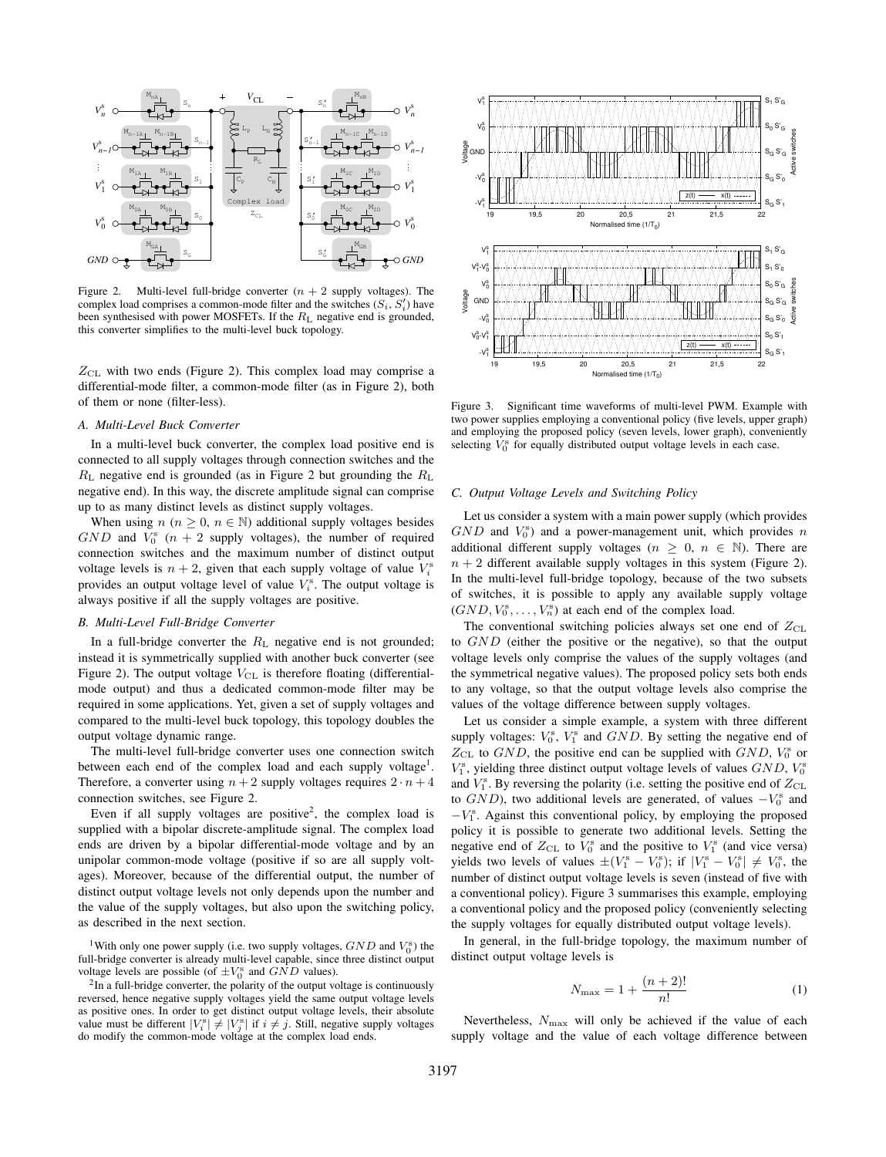

Figure 2. Multi-level full-bridge converter  $(n + 2 \text{ supply voltages})$ . The complex load comprises a common-mode filter and the switches  $(S_i, S'_i)$  have been synthesised with power MOSFETs. If the  $R_L$  negative end is grounded, this converter simplifies to the multi-level buck topology.

 $Z_{CL}$  with two ends (Figure 2). This complex load may comprise a differential-mode filter, a common-mode filter (as in Figure 2), both of them or none (filter-less).

# *A. Multi-Level Buck Converter*

In a multi-level buck converter, the complex load positive end is connected to all supply voltages through connection switches and the  $R_{\rm L}$  negative end is grounded (as in Figure 2 but grounding the  $R_{\rm L}$ negative end). In this way, the discrete amplitude signal can comprise up to as many distinct levels as distinct supply voltages.

When using  $n (n \geq 0, n \in \mathbb{N})$  additional supply voltages besides  $GND$  and  $V_0^s$   $(n+2)$  supply voltages), the number of required connection switches and the maximum number of distinct output voltage levels is  $n + 2$ , given that each supply voltage of value  $V_i^s$ provides an output voltage level of value  $V_i^s$ . The output voltage is always positive if all the supply voltages are positive.

# *B. Multi-Level Full-Bridge Converter*

In a full-bridge converter the  $R_L$  negative end is not grounded; instead it is symmetrically supplied with another buck converter (see Figure 2). The output voltage  $V_{CL}$  is therefore floating (differentialmode output) and thus a dedicated common-mode filter may be required in some applications. Yet, given a set of supply voltages and compared to the multi-level buck topology, this topology doubles the output voltage dynamic range.

The multi-level full-bridge converter uses one connection switch between each end of the complex load and each supply voltage<sup>1</sup>. Therefore, a converter using  $n + 2$  supply voltages requires  $2 \cdot n + 4$ connection switches, see Figure 2.

Even if all supply voltages are positive<sup>2</sup>, the complex load is supplied with a bipolar discrete-amplitude signal. The complex load ends are driven by a bipolar differential-mode voltage and by an unipolar common-mode voltage (positive if so are all supply voltages). Moreover, because of the differential output, the number of distinct output voltage levels not only depends upon the number and the value of the supply voltages, but also upon the switching policy, as described in the next section.

<sup>1</sup>With only one power supply (i.e. two supply voltages,  $GND$  and  $V_0^s$ ) the full-bridge converter is already multi-level capable, since three distinct output voltage levels are possible (of  $\pm V_0^{\rm s}$  and  $GND$  values).

<sup>2</sup>In a full-bridge converter, the polarity of the output voltage is continuously reversed, hence negative supply voltages yield the same output voltage levels as positive ones. In order to get distinct output voltage levels, their absolute value must be different  $|V_i^s| \neq |V_j^s|$  if  $i \neq j$ . Still, negative supply voltages do modify the common-mode voltage at the complex load ends.



Figure 3. Significant time waveforms of multi-level PWM. Example with two power supplies employing a conventional policy (five levels, upper graph) and employing the proposed policy (seven levels, lower graph), conveniently selecting  $V_0^s$  for equally distributed output voltage levels in each case.

#### *C. Output Voltage Levels and Switching Policy*

Let us consider a system with a main power supply (which provides  $GND$  and  $V_0^s$ ) and a power-management unit, which provides n additional different supply voltages ( $n \geq 0$ ,  $n \in \mathbb{N}$ ). There are  $n + 2$  different available supply voltages in this system (Figure 2). In the multi-level full-bridge topology, because of the two subsets of switches, it is possible to apply any available supply voltage  $(GND, V_0^s, \ldots, V_n^s)$  at each end of the complex load.

The conventional switching policies always set one end of  $Z_{CL}$ to GND (either the positive or the negative), so that the output voltage levels only comprise the values of the supply voltages (and the symmetrical negative values). The proposed policy sets both ends to any voltage, so that the output voltage levels also comprise the values of the voltage difference between supply voltages.

Let us consider a simple example, a system with three different supply voltages:  $V_0^s$ ,  $V_1^s$  and  $GND$ . By setting the negative end of  $Z_{\text{CL}}$  to  $GND$ , the positive end can be supplied with  $GND$ ,  $V_0^s$  or  $V_1^s$ , yielding three distinct output voltage levels of values  $GND$ ,  $V_0^s$ and  $V_1^s$ . By reversing the polarity (i.e. setting the positive end of  $Z_{\text{CL}}$ to  $GND$ ), two additional levels are generated, of values  $-V_0^s$  and  $-V_1^s$ . Against this conventional policy, by employing the proposed policy it is possible to generate two additional levels. Setting the negative end of  $Z_{\text{CL}}$  to  $V_0^{\text{s}}$  and the positive to  $V_1^{\text{s}}$  (and vice versa) yields two levels of values  $\pm (V_1^s - V_0^s)$ ; if  $|V_1^s - V_0^s| \neq V_0^s$ , the number of distinct output voltage levels is seven (instead of five with a conventional policy). Figure 3 summarises this example, employing a conventional policy and the proposed policy (conveniently selecting the supply voltages for equally distributed output voltage levels).

In general, in the full-bridge topology, the maximum number of distinct output voltage levels is

$$
N_{\max} = 1 + \frac{(n+2)!}{n!}
$$
 (1)

Nevertheless,  $N_{\text{max}}$  will only be achieved if the value of each supply voltage and the value of each voltage difference between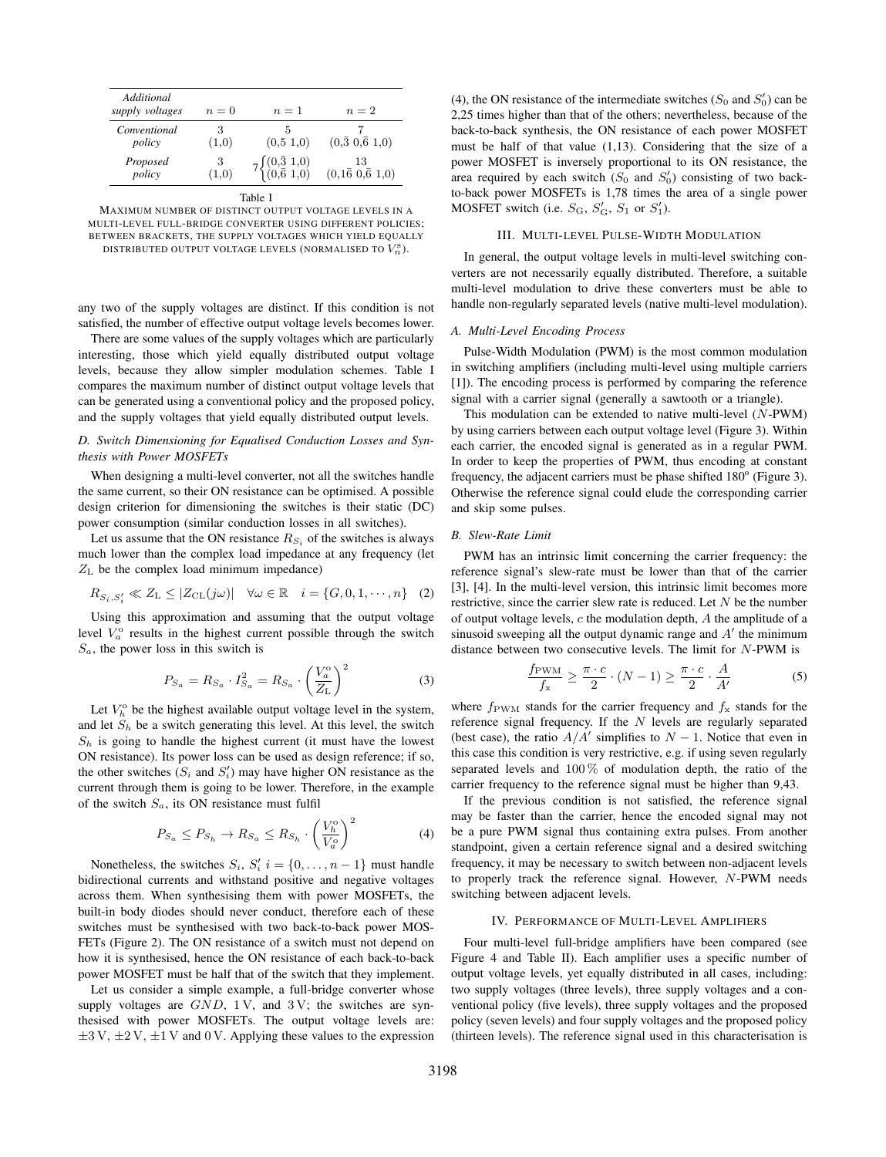| Additional<br>supply voltages | $n=0$ | $n=1$                                                             | $n=2$                        |
|-------------------------------|-------|-------------------------------------------------------------------|------------------------------|
| Conventional                  | З     | 5                                                                 | $(0,\bar{3},0,\bar{6},1,0)$  |
| policy                        | (1,0) | (0,5,1,0)                                                         |                              |
| Proposed                      | 3     | $7\begin{cases} (0,\bar{3} ,1,0) \\ (0,\bar{6} ,1,0) \end{cases}$ | 13                           |
| policy                        | (1,0) |                                                                   | $(0,1\bar{6} 0,\bar{6} 1,0)$ |
|                               |       | Fable                                                             |                              |

MAXIMUM NUMBER OF DISTINCT OUTPUT VOLTAGE LEVELS IN A MULTI-LEVEL FULL-BRIDGE CONVERTER USING DIFFERENT POLICIES; BETWEEN BRACKETS, THE SUPPLY VOLTAGES WHICH YIELD EQUALLY DISTRIBUTED OUTPUT VOLTAGE LEVELS (NORMALISED TO  $V^{\mathrm{s}}_n$ ).

any two of the supply voltages are distinct. If this condition is not satisfied, the number of effective output voltage levels becomes lower.

There are some values of the supply voltages which are particularly interesting, those which yield equally distributed output voltage levels, because they allow simpler modulation schemes. Table I compares the maximum number of distinct output voltage levels that can be generated using a conventional policy and the proposed policy, and the supply voltages that yield equally distributed output levels.

# *D. Switch Dimensioning for Equalised Conduction Losses and Synthesis with Power MOSFETs*

When designing a multi-level converter, not all the switches handle the same current, so their ON resistance can be optimised. A possible design criterion for dimensioning the switches is their static (DC) power consumption (similar conduction losses in all switches).

Let us assume that the ON resistance  $R_{S_i}$  of the switches is always much lower than the complex load impedance at any frequency (let  $Z_{\text{L}}$  be the complex load minimum impedance)

$$
R_{S_i, S'_i} \ll Z_{\text{L}} \le |Z_{\text{CL}}(j\omega)| \quad \forall \omega \in \mathbb{R} \quad i = \{G, 0, 1, \cdots, n\} \quad (2)
$$

Using this approximation and assuming that the output voltage level  $V_a^{\circ}$  results in the highest current possible through the switch  $S_a$ , the power loss in this switch is

$$
P_{S_a} = R_{S_a} \cdot I_{S_a}^2 = R_{S_a} \cdot \left(\frac{V_a^{\circ}}{Z_{\rm L}}\right)^2 \tag{3}
$$

Let  $V_h^{\circ}$  be the highest available output voltage level in the system, and let  $S_h$  be a switch generating this level. At this level, the switch  $S_h$  is going to handle the highest current (it must have the lowest ON resistance). Its power loss can be used as design reference; if so, the other switches  $(S_i \text{ and } S'_i)$  may have higher ON resistance as the current through them is going to be lower. Therefore, in the example of the switch  $S_a$ , its ON resistance must fulfil

$$
P_{S_a} \le P_{S_h} \to R_{S_a} \le R_{S_h} \cdot \left(\frac{V_h^{\circ}}{V_a^{\circ}}\right)^2 \tag{4}
$$

Nonetheless, the switches  $S_i$ ,  $S'_i$   $i = \{0, \ldots, n-1\}$  must handle bidirectional currents and withstand positive and negative voltages across them. When synthesising them with power MOSFETs, the built-in body diodes should never conduct, therefore each of these switches must be synthesised with two back-to-back power MOS-FETs (Figure 2). The ON resistance of a switch must not depend on how it is synthesised, hence the ON resistance of each back-to-back power MOSFET must be half that of the switch that they implement.

Let us consider a simple example, a full-bridge converter whose supply voltages are  $GND$ , 1V, and 3V; the switches are synthesised with power MOSFETs. The output voltage levels are:  $\pm 3 \text{ V}, \pm 2 \text{ V}, \pm 1 \text{ V}$  and 0 V. Applying these values to the expression

(4), the ON resistance of the intermediate switches  $(S_0 \text{ and } S'_0)$  can be 2,25 times higher than that of the others; nevertheless, because of the back-to-back synthesis, the ON resistance of each power MOSFET must be half of that value (1,13). Considering that the size of a power MOSFET is inversely proportional to its ON resistance, the area required by each switch  $(S_0$  and  $S'_0$ ) consisting of two backto-back power MOSFETs is 1,78 times the area of a single power MOSFET switch (i.e.  $S_G$ ,  $S_G'$ ,  $S_1$  or  $S_1'$ ).

#### III. MULTI-LEVEL PULSE-WIDTH MODULATION

In general, the output voltage levels in multi-level switching converters are not necessarily equally distributed. Therefore, a suitable multi-level modulation to drive these converters must be able to handle non-regularly separated levels (native multi-level modulation).

# *A. Multi-Level Encoding Process*

Pulse-Width Modulation (PWM) is the most common modulation in switching amplifiers (including multi-level using multiple carriers [1]). The encoding process is performed by comparing the reference signal with a carrier signal (generally a sawtooth or a triangle).

This modulation can be extended to native multi-level  $(N-PWM)$ by using carriers between each output voltage level (Figure 3). Within each carrier, the encoded signal is generated as in a regular PWM. In order to keep the properties of PWM, thus encoding at constant frequency, the adjacent carriers must be phase shifted 180° (Figure 3). Otherwise the reference signal could elude the corresponding carrier and skip some pulses.

#### *B. Slew-Rate Limit*

PWM has an intrinsic limit concerning the carrier frequency: the reference signal's slew-rate must be lower than that of the carrier [3], [4]. In the multi-level version, this intrinsic limit becomes more restrictive, since the carrier slew rate is reduced. Let N be the number of output voltage levels, c the modulation depth, A the amplitude of a sinusoid sweeping all the output dynamic range and  $A'$  the minimum distance between two consecutive levels. The limit for N-PWM is

$$
\frac{f_{\text{PWM}}}{f_{\text{x}}} \ge \frac{\pi \cdot c}{2} \cdot (N - 1) \ge \frac{\pi \cdot c}{2} \cdot \frac{A}{A'} \tag{5}
$$

where  $f_{\text{PWM}}$  stands for the carrier frequency and  $f_{\text{x}}$  stands for the reference signal frequency. If the  $N$  levels are regularly separated (best case), the ratio  $A/A'$  simplifies to  $N-1$ . Notice that even in this case this condition is very restrictive, e.g. if using seven regularly separated levels and 100 % of modulation depth, the ratio of the carrier frequency to the reference signal must be higher than 9,43.

If the previous condition is not satisfied, the reference signal may be faster than the carrier, hence the encoded signal may not be a pure PWM signal thus containing extra pulses. From another standpoint, given a certain reference signal and a desired switching frequency, it may be necessary to switch between non-adjacent levels to properly track the reference signal. However, N-PWM needs switching between adjacent levels.

## IV. PERFORMANCE OF MULTI-LEVEL AMPLIFIERS

Four multi-level full-bridge amplifiers have been compared (see Figure 4 and Table II). Each amplifier uses a specific number of output voltage levels, yet equally distributed in all cases, including: two supply voltages (three levels), three supply voltages and a conventional policy (five levels), three supply voltages and the proposed policy (seven levels) and four supply voltages and the proposed policy (thirteen levels). The reference signal used in this characterisation is